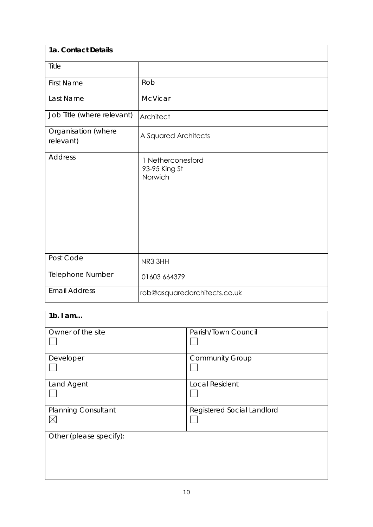| 1a. Contact Details              |                                               |
|----------------------------------|-----------------------------------------------|
| Title                            |                                               |
| <b>First Name</b>                | Rob                                           |
| Last Name                        | McVicar                                       |
| Job Title (where relevant)       | Architect                                     |
| Organisation (where<br>relevant) | A Squared Architects                          |
| <b>Address</b>                   | 1 Netherconesford<br>93-95 King St<br>Norwich |
| Post Code                        | NR3 3HH                                       |
| Telephone Number                 | 01603 664379                                  |
| <b>Email Address</b>             | rob@asquaredarchitects.co.uk                  |

| $1b.$ I am                                |                            |
|-------------------------------------------|----------------------------|
| Owner of the site                         | Parish/Town Council        |
| Developer                                 | <b>Community Group</b>     |
| Land Agent                                | <b>Local Resident</b>      |
| <b>Planning Consultant</b><br>$\boxtimes$ | Registered Social Landlord |
| Other (please specify):                   |                            |
|                                           |                            |
|                                           |                            |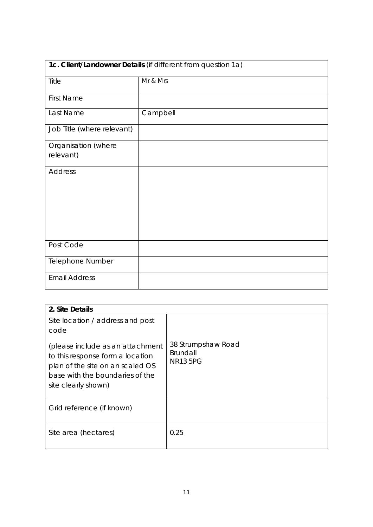| 1c. Client/Landowner Details (if different from question 1a) |          |
|--------------------------------------------------------------|----------|
| Title                                                        | Mr & Mrs |
| <b>First Name</b>                                            |          |
| Last Name                                                    | Campbell |
| Job Title (where relevant)                                   |          |
| Organisation (where<br>relevant)                             |          |
| Address                                                      |          |
| Post Code                                                    |          |
| Telephone Number                                             |          |
| <b>Email Address</b>                                         |          |

| 2. Site Details                                                                                                                                                    |                                                   |
|--------------------------------------------------------------------------------------------------------------------------------------------------------------------|---------------------------------------------------|
| Site location / address and post<br>code                                                                                                                           |                                                   |
| (please include as an attachment<br>to this response form a location<br>plan of the site on an scaled OS<br>base with the boundaries of the<br>site clearly shown) | 38 Strumpshaw Road<br>Brundall<br><b>NR13 5PG</b> |
| Grid reference (if known)                                                                                                                                          |                                                   |
| Site area (hectares)                                                                                                                                               | 0.25                                              |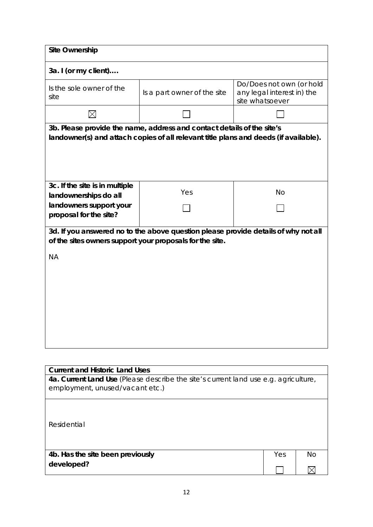| <b>Site Ownership</b>                                                               |                                                                                      |                                                                           |
|-------------------------------------------------------------------------------------|--------------------------------------------------------------------------------------|---------------------------------------------------------------------------|
| 3a. I (or my client)                                                                |                                                                                      |                                                                           |
| Is the sole owner of the<br>site                                                    | Is a part owner of the site                                                          | Do/Does not own (or hold<br>any legal interest in) the<br>site whatsoever |
| $\times$                                                                            |                                                                                      |                                                                           |
|                                                                                     | 3b. Please provide the name, address and contact details of the site's               |                                                                           |
|                                                                                     | landowner(s) and attach copies of all relevant title plans and deeds (if available). |                                                                           |
|                                                                                     |                                                                                      |                                                                           |
|                                                                                     |                                                                                      |                                                                           |
|                                                                                     |                                                                                      |                                                                           |
|                                                                                     |                                                                                      |                                                                           |
| 3c. If the site is in multiple                                                      |                                                                                      |                                                                           |
| landownerships do all                                                               | Yes                                                                                  | <b>No</b>                                                                 |
| landowners support your                                                             |                                                                                      |                                                                           |
| proposal for the site?                                                              |                                                                                      |                                                                           |
|                                                                                     |                                                                                      |                                                                           |
|                                                                                     | 3d. If you answered no to the above question please provide details of why not all   |                                                                           |
| of the sites owners support your proposals for the site.                            |                                                                                      |                                                                           |
| <b>NA</b>                                                                           |                                                                                      |                                                                           |
|                                                                                     |                                                                                      |                                                                           |
|                                                                                     |                                                                                      |                                                                           |
|                                                                                     |                                                                                      |                                                                           |
|                                                                                     |                                                                                      |                                                                           |
|                                                                                     |                                                                                      |                                                                           |
|                                                                                     |                                                                                      |                                                                           |
|                                                                                     |                                                                                      |                                                                           |
|                                                                                     |                                                                                      |                                                                           |
|                                                                                     |                                                                                      |                                                                           |
|                                                                                     |                                                                                      |                                                                           |
| <b>Current and Historic Land Uses</b>                                               |                                                                                      |                                                                           |
| 4a. Current Land Use (Please describe the site's current land use e.g. agriculture, |                                                                                      |                                                                           |
| employment, unused/vacant etc.)                                                     |                                                                                      |                                                                           |
|                                                                                     |                                                                                      |                                                                           |

| Residential                      |     |           |
|----------------------------------|-----|-----------|
| 4b. Has the site been previously | Yes | <b>No</b> |
| developed?                       |     |           |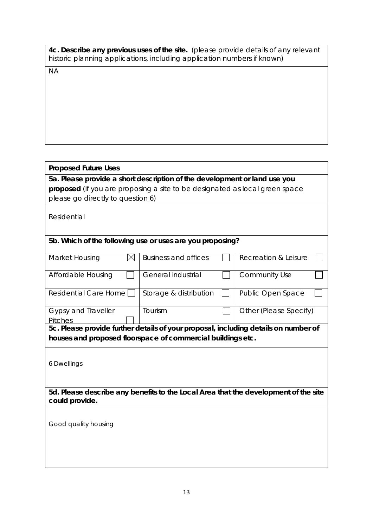| 4c. Describe any previous uses of the site. (please provide details of any relevant |  |
|-------------------------------------------------------------------------------------|--|
| historic planning applications, including application numbers if known)             |  |

NA

# **Proposed Future Uses**

**5a. Please provide a short description of the development or land use you proposed** (if you are proposing a site to be designated as local green space please go directly to question 6)

Residential

# **5b. Which of the following use or uses are you proposing?**

| Market Housing                                              |  | <b>Business and offices</b> | Recreation & Leisure                                                                |
|-------------------------------------------------------------|--|-----------------------------|-------------------------------------------------------------------------------------|
|                                                             |  |                             |                                                                                     |
| Affordable Housing                                          |  | General industrial          | <b>Community Use</b>                                                                |
|                                                             |  |                             |                                                                                     |
| Residential Care Home                                       |  | Storage & distribution      | Public Open Space                                                                   |
|                                                             |  |                             |                                                                                     |
| <b>Gypsy and Traveller</b>                                  |  | Tourism                     | Other (Please Specify)                                                              |
| <b>Pitches</b>                                              |  |                             |                                                                                     |
|                                                             |  |                             | 5c. Please provide further details of your proposal, including details on number of |
| houses and proposed floorspace of commercial buildings etc. |  |                             |                                                                                     |

6 Dwellings

**5d. Please describe any benefits to the Local Area that the development of the site could provide.**

Good quality housing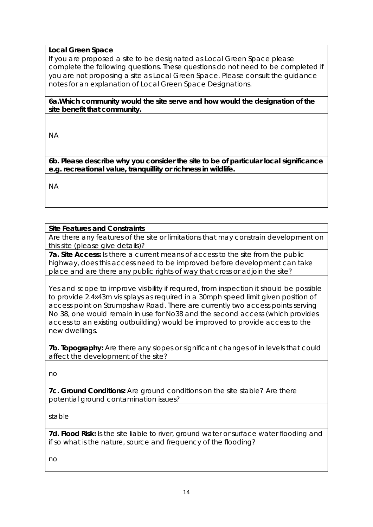# **Local Green Space**

If you are proposed a site to be designated as Local Green Space please complete the following questions. These questions do not need to be completed if you are not proposing a site as Local Green Space. Please consult the guidance notes for an explanation of Local Green Space Designations.

**6a.Which community would the site serve and how would the designation of the site benefit that community.** 

NA

**6b. Please describe why you consider the site to be of particular local significance e.g. recreational value, tranquillity or richness in wildlife.**

NA

### **Site Features and Constraints**

Are there any features of the site or limitations that may constrain development on this site (please give details)?

**7a. Site Access:** Is there a current means of access to the site from the public highway, does this access need to be improved before development can take place and are there any public rights of way that cross or adjoin the site?

Yes and scope to improve visibility if required, from inspection it should be possible to provide 2.4x43m vis splays as required in a 30mph speed limit given position of access point on Strumpshaw Road. There are currently two access points serving No 38, one would remain in use for No38 and the second access (which provides access to an existing outbuilding) would be improved to provide access to the new dwellings.

**7b. Topography:** Are there any slopes or significant changes of in levels that could affect the development of the site?

no

**7c. Ground Conditions:** Are ground conditions on the site stable? Are there potential ground contamination issues?

stable

**7d. Flood Risk:** Is the site liable to river, ground water or surface water flooding and if so what is the nature, source and frequency of the flooding?

no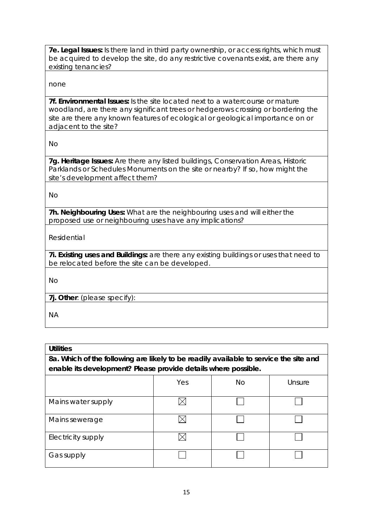**7e. Legal Issues:** Is there land in third party ownership, or access rights, which must be acquired to develop the site, do any restrictive covenants exist, are there any existing tenancies?

none

**7f. Environmental Issues:** Is the site located next to a watercourse or mature woodland, are there any significant trees or hedgerows crossing or bordering the site are there any known features of ecological or geological importance on or adjacent to the site?

No

**7g. Heritage Issues:** Are there any listed buildings, Conservation Areas, Historic Parklands or Schedules Monuments on the site or nearby? If so, how might the site's development affect them?

No

**7h. Neighbouring Uses:** What are the neighbouring uses and will either the proposed use or neighbouring uses have any implications?

Residential

**7i. Existing uses and Buildings:** are there any existing buildings or uses that need to be relocated before the site can be developed.

No

**7j. Other**: (please specify):

NA

| <b>Utilities</b>                                                                      |     |    |        |
|---------------------------------------------------------------------------------------|-----|----|--------|
| 8a. Which of the following are likely to be readily available to service the site and |     |    |        |
| enable its development? Please provide details where possible.                        |     |    |        |
|                                                                                       | Yes | No | Unsure |
| Mains water supply                                                                    |     |    |        |
| Mains sewerage                                                                        |     |    |        |
| Electricity supply                                                                    |     |    |        |
| Gas supply                                                                            |     |    |        |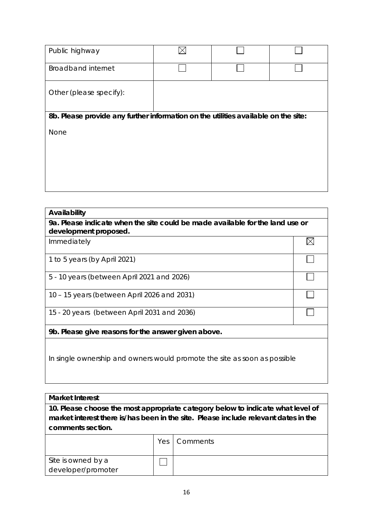| Public highway                                                                     |  |  |
|------------------------------------------------------------------------------------|--|--|
| <b>Broadband internet</b>                                                          |  |  |
| Other (please specify):                                                            |  |  |
| 8b. Please provide any further information on the utilities available on the site: |  |  |
| None                                                                               |  |  |
|                                                                                    |  |  |
|                                                                                    |  |  |
|                                                                                    |  |  |
|                                                                                    |  |  |

| Availability                                                                  |  |  |
|-------------------------------------------------------------------------------|--|--|
| 9a. Please indicate when the site could be made available for the land use or |  |  |
| development proposed.                                                         |  |  |
| Immediately                                                                   |  |  |
| 1 to 5 years (by April 2021)                                                  |  |  |
| 5 - 10 years (between April 2021 and 2026)                                    |  |  |
| 10 – 15 years (between April 2026 and 2031)                                   |  |  |
| 15 - 20 years (between April 2031 and 2036)                                   |  |  |
| 9b. Please give reasons for the answer given above.                           |  |  |
| In single ownership and owners would promote the site as soon as possible     |  |  |

**Market Interest**

**10. Please choose the most appropriate category below to indicate what level of market interest there is/has been in the site. Please include relevant dates in the comments section.**

|                    | Yes   Comments |
|--------------------|----------------|
| Site is owned by a |                |
| developer/promoter |                |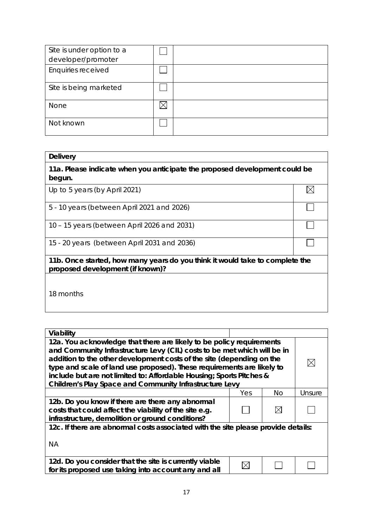| Site is under option to a |  |
|---------------------------|--|
| developer/promoter        |  |
| Enquiries received        |  |
|                           |  |
| Site is being marketed    |  |
|                           |  |
| None                      |  |
|                           |  |
| Not known                 |  |
|                           |  |

#### **Delivery**

**11a. Please indicate when you anticipate the proposed development could be begun.**

 $\boxtimes$ 

 $\Box$ 

٦

┐

Up to 5 years (by April 2021)

5 - 10 years (between April 2021 and 2026)

10 – 15 years (between April 2026 and 2031)

15 - 20 years (between April 2031 and 2036)

**11b. Once started, how many years do you think it would take to complete the proposed development (if known)?**

18 months

| Viability                                                                                                                                                                                                                                                                                                                                                                                                                                     |     |     |        |
|-----------------------------------------------------------------------------------------------------------------------------------------------------------------------------------------------------------------------------------------------------------------------------------------------------------------------------------------------------------------------------------------------------------------------------------------------|-----|-----|--------|
| 12a. You acknowledge that there are likely to be policy requirements<br>and Community Infrastructure Levy (CIL) costs to be met which will be in<br>addition to the other development costs of the site (depending on the<br>type and scale of land use proposed). These requirements are likely to<br>include but are not limited to: Affordable Housing; Sports Pitches &<br><b>Children's Play Space and Community Infrastructure Levy</b> |     |     |        |
|                                                                                                                                                                                                                                                                                                                                                                                                                                               | Yes | No. | Unsure |
| 12b. Do you know if there are there any abnormal<br>costs that could affect the viability of the site e.g.<br>infrastructure, demolition or ground conditions?                                                                                                                                                                                                                                                                                |     |     |        |
| 12c. If there are abnormal costs associated with the site please provide details:                                                                                                                                                                                                                                                                                                                                                             |     |     |        |
| <b>NA</b>                                                                                                                                                                                                                                                                                                                                                                                                                                     |     |     |        |
| 12d. Do you consider that the site is currently viable<br>for its proposed use taking into account any and all                                                                                                                                                                                                                                                                                                                                |     |     |        |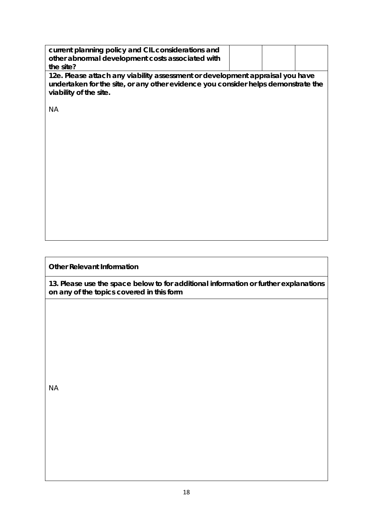| current planning policy and CIL considerations and<br>other abnormal development costs associated with<br>the site?                                                                          |  |  |  |  |
|----------------------------------------------------------------------------------------------------------------------------------------------------------------------------------------------|--|--|--|--|
| 12e. Please attach any viability assessment or development appraisal you have<br>undertaken for the site, or any other evidence you consider helps demonstrate the<br>viability of the site. |  |  |  |  |
| <b>NA</b>                                                                                                                                                                                    |  |  |  |  |
|                                                                                                                                                                                              |  |  |  |  |
|                                                                                                                                                                                              |  |  |  |  |
|                                                                                                                                                                                              |  |  |  |  |
|                                                                                                                                                                                              |  |  |  |  |
|                                                                                                                                                                                              |  |  |  |  |
|                                                                                                                                                                                              |  |  |  |  |
| <b>Other Relevant Information</b>                                                                                                                                                            |  |  |  |  |

**13. Please use the space below to for additional information or further explanations on any of the topics covered in this form**

NA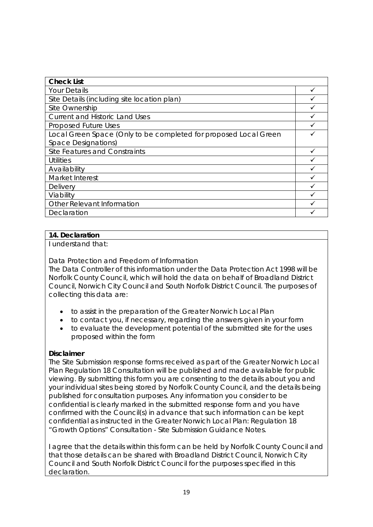| <b>Check List</b>                                                |  |
|------------------------------------------------------------------|--|
| <b>Your Details</b>                                              |  |
| Site Details (including site location plan)                      |  |
| Site Ownership                                                   |  |
| <b>Current and Historic Land Uses</b>                            |  |
| Proposed Future Uses                                             |  |
| Local Green Space (Only to be completed for proposed Local Green |  |
| <b>Space Designations)</b>                                       |  |
| Site Features and Constraints                                    |  |
| <b>Utilities</b>                                                 |  |
| Availability                                                     |  |
| Market Interest                                                  |  |
| Delivery                                                         |  |
| Viability                                                        |  |
| Other Relevant Information                                       |  |
| Declaration                                                      |  |

# **14. Declaration**

I understand that:

Data Protection and Freedom of Information

The Data Controller of this information under the Data Protection Act 1998 will be Norfolk County Council, which will hold the data on behalf of Broadland District Council, Norwich City Council and South Norfolk District Council. The purposes of collecting this data are:

- to assist in the preparation of the Greater Norwich Local Plan
- to contact you, if necessary, regarding the answers given in your form
- to evaluate the development potential of the submitted site for the uses proposed within the form

### **Disclaimer**

The Site Submission response forms received as part of the Greater Norwich Local Plan Regulation 18 Consultation will be published and made available for public viewing. By submitting this form you are consenting to the details about you and your individual sites being stored by Norfolk County Council, and the details being published for consultation purposes. Any information you consider to be confidential is clearly marked in the submitted response form and you have confirmed with the Council(s) in advance that such information can be kept confidential as instructed in the Greater Norwich Local Plan: Regulation 18 "Growth Options" Consultation - Site Submission Guidance Notes.

I agree that the details within this form can be held by Norfolk County Council and that those details can be shared with Broadland District Council, Norwich City Council and South Norfolk District Council for the purposes specified in this declaration.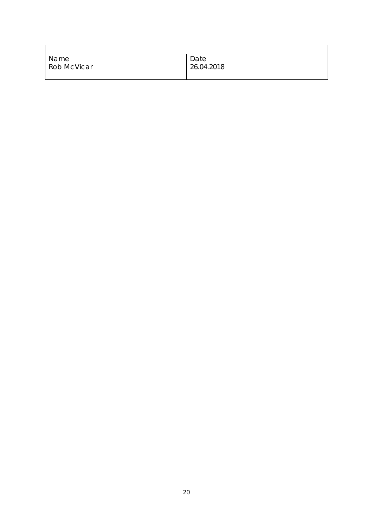| Name               | Date       |
|--------------------|------------|
| <b>Rob McVicar</b> | 26.04.2018 |